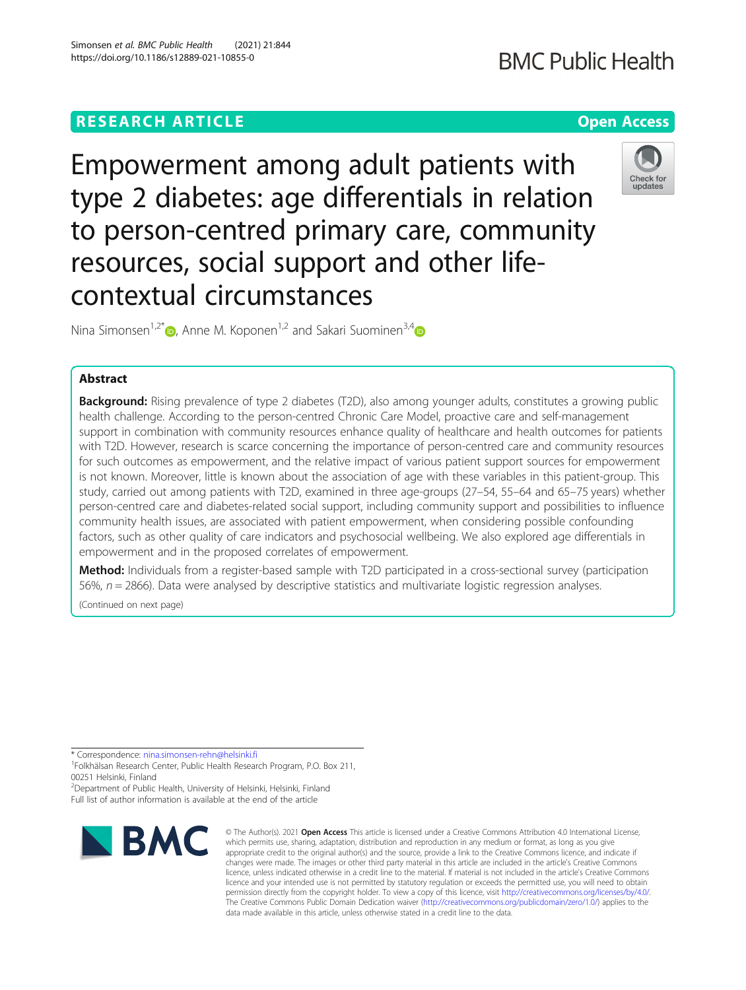## **RESEARCH ARTICLE Example 2014 12:30 The Contract of Contract ACCESS**

Empowerment among adult patients with type 2 diabetes: age differentials in relation to person-centred primary care, community resources, social support and other lifecontextual circumstances

Nina Simonsen<sup>1,2\*</sup> $\bullet$ , Anne M. Koponen<sup>1,2</sup> and Sakari Suominen<sup>3,4</sup> $\bullet$ 

## Abstract

**Background:** Rising prevalence of type 2 diabetes (T2D), also among younger adults, constitutes a growing public health challenge. According to the person-centred Chronic Care Model, proactive care and self-management support in combination with community resources enhance quality of healthcare and health outcomes for patients with T2D. However, research is scarce concerning the importance of person-centred care and community resources for such outcomes as empowerment, and the relative impact of various patient support sources for empowerment is not known. Moreover, little is known about the association of age with these variables in this patient-group. This study, carried out among patients with T2D, examined in three age-groups (27–54, 55–64 and 65–75 years) whether person-centred care and diabetes-related social support, including community support and possibilities to influence community health issues, are associated with patient empowerment, when considering possible confounding factors, such as other quality of care indicators and psychosocial wellbeing. We also explored age differentials in empowerment and in the proposed correlates of empowerment.

Method: Individuals from a register-based sample with T2D participated in a cross-sectional survey (participation 56%,  $n = 2866$ ). Data were analysed by descriptive statistics and multivariate logistic regression analyses.

(Continued on next page)

\* Correspondence: [nina.simonsen-rehn@helsinki.fi](mailto:nina.simonsen-rehn@helsinki.fi) <sup>1</sup>

Folkhälsan Research Center, Public Health Research Program, P.O. Box 211, 00251 Helsinki, Finland

<sup>2</sup>Department of Public Health, University of Helsinki, Helsinki, Finland Full list of author information is available at the end of the article



<sup>©</sup> The Author(s), 2021 **Open Access** This article is licensed under a Creative Commons Attribution 4.0 International License, which permits use, sharing, adaptation, distribution and reproduction in any medium or format, as long as you give appropriate credit to the original author(s) and the source, provide a link to the Creative Commons licence, and indicate if changes were made. The images or other third party material in this article are included in the article's Creative Commons licence, unless indicated otherwise in a credit line to the material. If material is not included in the article's Creative Commons licence and your intended use is not permitted by statutory regulation or exceeds the permitted use, you will need to obtain permission directly from the copyright holder. To view a copy of this licence, visit [http://creativecommons.org/licenses/by/4.0/.](http://creativecommons.org/licenses/by/4.0/) The Creative Commons Public Domain Dedication waiver [\(http://creativecommons.org/publicdomain/zero/1.0/](http://creativecommons.org/publicdomain/zero/1.0/)) applies to the data made available in this article, unless otherwise stated in a credit line to the data.

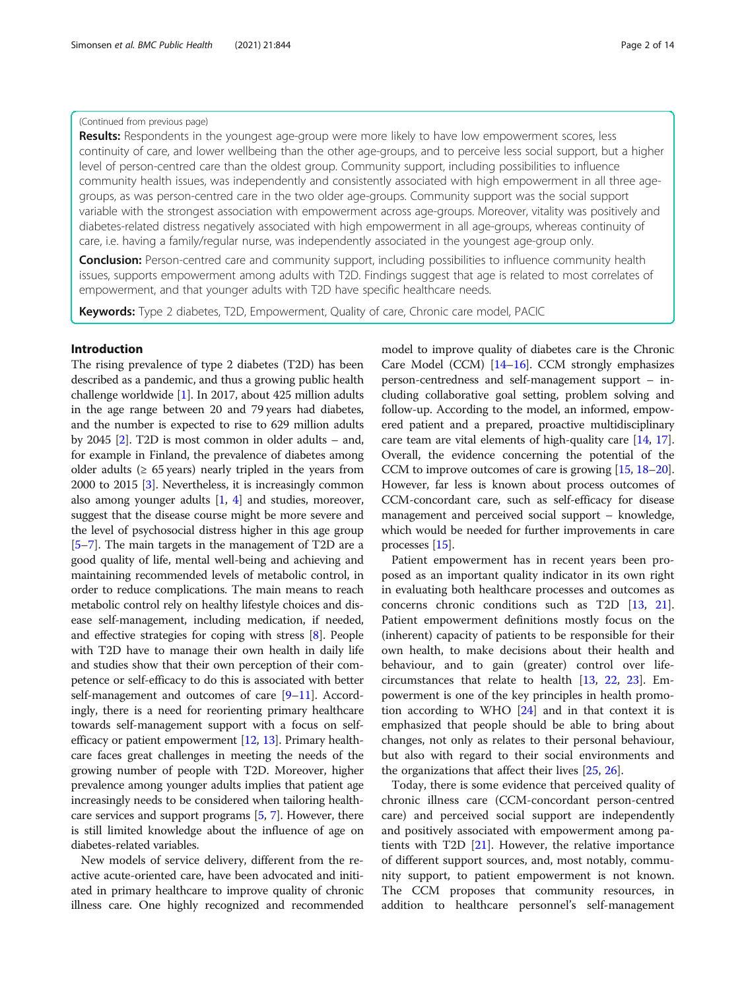## (Continued from previous page)

Results: Respondents in the youngest age-group were more likely to have low empowerment scores, less continuity of care, and lower wellbeing than the other age-groups, and to perceive less social support, but a higher level of person-centred care than the oldest group. Community support, including possibilities to influence community health issues, was independently and consistently associated with high empowerment in all three agegroups, as was person-centred care in the two older age-groups. Community support was the social support variable with the strongest association with empowerment across age-groups. Moreover, vitality was positively and diabetes-related distress negatively associated with high empowerment in all age-groups, whereas continuity of care, i.e. having a family/regular nurse, was independently associated in the youngest age-group only.

**Conclusion:** Person-centred care and community support, including possibilities to influence community health issues, supports empowerment among adults with T2D. Findings suggest that age is related to most correlates of empowerment, and that younger adults with T2D have specific healthcare needs.

Keywords: Type 2 diabetes, T2D, Empowerment, Quality of care, Chronic care model, PACIC

## Introduction

The rising prevalence of type 2 diabetes (T2D) has been described as a pandemic, and thus a growing public health challenge worldwide [\[1](#page-12-0)]. In 2017, about 425 million adults in the age range between 20 and 79 years had diabetes, and the number is expected to rise to 629 million adults by 2045 [\[2\]](#page-12-0). T2D is most common in older adults – and, for example in Finland, the prevalence of diabetes among older adults ( $\geq 65$  years) nearly tripled in the years from 2000 to 2015 [\[3](#page-12-0)]. Nevertheless, it is increasingly common also among younger adults [[1,](#page-12-0) [4\]](#page-12-0) and studies, moreover, suggest that the disease course might be more severe and the level of psychosocial distress higher in this age group [[5](#page-12-0)–[7](#page-12-0)]. The main targets in the management of T2D are a good quality of life, mental well-being and achieving and maintaining recommended levels of metabolic control, in order to reduce complications. The main means to reach metabolic control rely on healthy lifestyle choices and disease self-management, including medication, if needed, and effective strategies for coping with stress [[8\]](#page-12-0). People with T2D have to manage their own health in daily life and studies show that their own perception of their competence or self-efficacy to do this is associated with better self-management and outcomes of care [[9](#page-12-0)–[11](#page-12-0)]. Accordingly, there is a need for reorienting primary healthcare towards self-management support with a focus on selfefficacy or patient empowerment [\[12,](#page-12-0) [13\]](#page-12-0). Primary healthcare faces great challenges in meeting the needs of the growing number of people with T2D. Moreover, higher prevalence among younger adults implies that patient age increasingly needs to be considered when tailoring healthcare services and support programs [\[5,](#page-12-0) [7\]](#page-12-0). However, there is still limited knowledge about the influence of age on diabetes-related variables.

New models of service delivery, different from the reactive acute-oriented care, have been advocated and initiated in primary healthcare to improve quality of chronic illness care. One highly recognized and recommended model to improve quality of diabetes care is the Chronic Care Model (CCM) [[14](#page-12-0)–[16\]](#page-12-0). CCM strongly emphasizes person-centredness and self-management support – including collaborative goal setting, problem solving and follow-up. According to the model, an informed, empowered patient and a prepared, proactive multidisciplinary care team are vital elements of high-quality care [[14](#page-12-0), [17](#page-12-0)]. Overall, the evidence concerning the potential of the CCM to improve outcomes of care is growing [[15,](#page-12-0) [18](#page-12-0)–[20](#page-12-0)]. However, far less is known about process outcomes of CCM-concordant care, such as self-efficacy for disease management and perceived social support – knowledge, which would be needed for further improvements in care processes [\[15\]](#page-12-0).

Patient empowerment has in recent years been proposed as an important quality indicator in its own right in evaluating both healthcare processes and outcomes as concerns chronic conditions such as T2D [[13](#page-12-0), [21](#page-12-0)]. Patient empowerment definitions mostly focus on the (inherent) capacity of patients to be responsible for their own health, to make decisions about their health and behaviour, and to gain (greater) control over lifecircumstances that relate to health [[13](#page-12-0), [22,](#page-12-0) [23](#page-12-0)]. Empowerment is one of the key principles in health promotion according to WHO [\[24\]](#page-12-0) and in that context it is emphasized that people should be able to bring about changes, not only as relates to their personal behaviour, but also with regard to their social environments and the organizations that affect their lives [\[25,](#page-12-0) [26\]](#page-12-0).

Today, there is some evidence that perceived quality of chronic illness care (CCM-concordant person-centred care) and perceived social support are independently and positively associated with empowerment among patients with T2D [\[21](#page-12-0)]. However, the relative importance of different support sources, and, most notably, community support, to patient empowerment is not known. The CCM proposes that community resources, in addition to healthcare personnel's self-management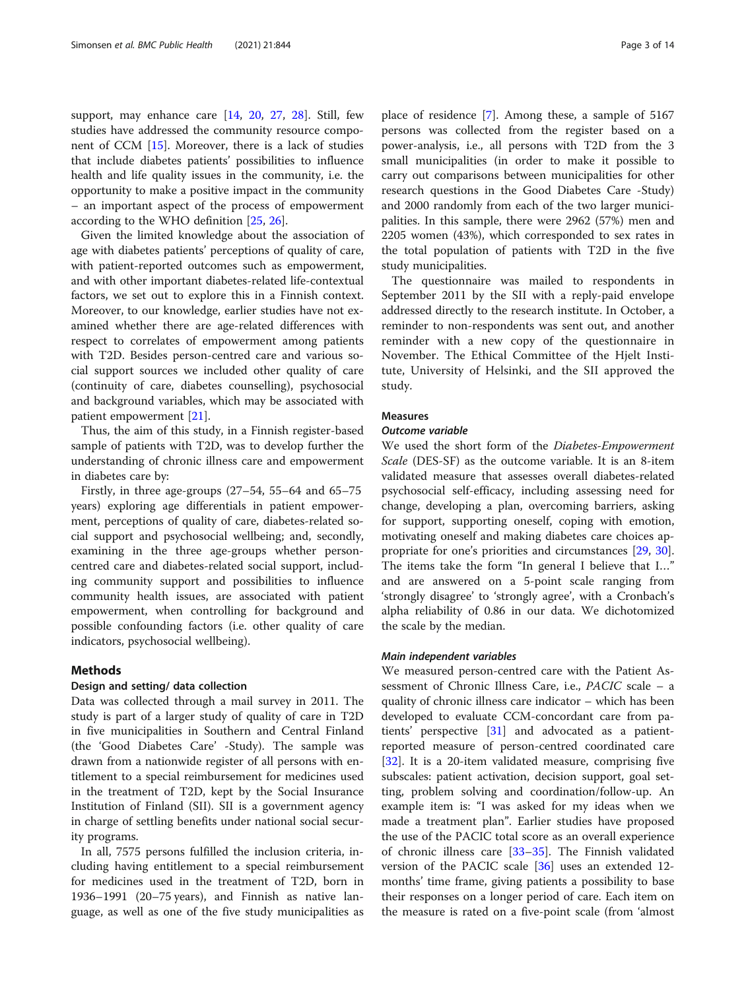support, may enhance care [[14,](#page-12-0) [20,](#page-12-0) [27,](#page-12-0) [28\]](#page-12-0). Still, few studies have addressed the community resource component of CCM [[15\]](#page-12-0). Moreover, there is a lack of studies that include diabetes patients' possibilities to influence health and life quality issues in the community, i.e. the opportunity to make a positive impact in the community – an important aspect of the process of empowerment according to the WHO definition [[25,](#page-12-0) [26\]](#page-12-0).

Given the limited knowledge about the association of age with diabetes patients' perceptions of quality of care, with patient-reported outcomes such as empowerment, and with other important diabetes-related life-contextual factors, we set out to explore this in a Finnish context. Moreover, to our knowledge, earlier studies have not examined whether there are age-related differences with respect to correlates of empowerment among patients with T2D. Besides person-centred care and various social support sources we included other quality of care (continuity of care, diabetes counselling), psychosocial and background variables, which may be associated with patient empowerment [\[21\]](#page-12-0).

Thus, the aim of this study, in a Finnish register-based sample of patients with T2D, was to develop further the understanding of chronic illness care and empowerment in diabetes care by:

Firstly, in three age-groups (27–54, 55–64 and 65–75 years) exploring age differentials in patient empowerment, perceptions of quality of care, diabetes-related social support and psychosocial wellbeing; and, secondly, examining in the three age-groups whether personcentred care and diabetes-related social support, including community support and possibilities to influence community health issues, are associated with patient empowerment, when controlling for background and possible confounding factors (i.e. other quality of care indicators, psychosocial wellbeing).

## Methods

## Design and setting/ data collection

Data was collected through a mail survey in 2011. The study is part of a larger study of quality of care in T2D in five municipalities in Southern and Central Finland (the 'Good Diabetes Care' -Study). The sample was drawn from a nationwide register of all persons with entitlement to a special reimbursement for medicines used in the treatment of T2D, kept by the Social Insurance Institution of Finland (SII). SII is a government agency in charge of settling benefits under national social security programs.

In all, 7575 persons fulfilled the inclusion criteria, including having entitlement to a special reimbursement for medicines used in the treatment of T2D, born in 1936–1991 (20–75 years), and Finnish as native language, as well as one of the five study municipalities as

place of residence [\[7](#page-12-0)]. Among these, a sample of 5167 persons was collected from the register based on a power-analysis, i.e., all persons with T2D from the 3 small municipalities (in order to make it possible to carry out comparisons between municipalities for other research questions in the Good Diabetes Care -Study) and 2000 randomly from each of the two larger municipalities. In this sample, there were 2962 (57%) men and 2205 women (43%), which corresponded to sex rates in the total population of patients with T2D in the five study municipalities.

The questionnaire was mailed to respondents in September 2011 by the SII with a reply-paid envelope addressed directly to the research institute. In October, a reminder to non-respondents was sent out, and another reminder with a new copy of the questionnaire in November. The Ethical Committee of the Hjelt Institute, University of Helsinki, and the SII approved the study.

## Measures

## Outcome variable

We used the short form of the Diabetes-Empowerment Scale (DES-SF) as the outcome variable. It is an 8-item validated measure that assesses overall diabetes-related psychosocial self-efficacy, including assessing need for change, developing a plan, overcoming barriers, asking for support, supporting oneself, coping with emotion, motivating oneself and making diabetes care choices appropriate for one's priorities and circumstances [\[29,](#page-12-0) [30](#page-12-0)]. The items take the form "In general I believe that I…" and are answered on a 5-point scale ranging from 'strongly disagree' to 'strongly agree', with a Cronbach's alpha reliability of 0.86 in our data. We dichotomized the scale by the median.

## Main independent variables

We measured person-centred care with the Patient Assessment of Chronic Illness Care, i.e., PACIC scale – a quality of chronic illness care indicator – which has been developed to evaluate CCM-concordant care from patients' perspective [[31](#page-12-0)] and advocated as a patientreported measure of person-centred coordinated care [[32\]](#page-12-0). It is a 20-item validated measure, comprising five subscales: patient activation, decision support, goal setting, problem solving and coordination/follow-up. An example item is: "I was asked for my ideas when we made a treatment plan". Earlier studies have proposed the use of the PACIC total score as an overall experience of chronic illness care [\[33](#page-12-0)–[35\]](#page-12-0). The Finnish validated version of the PACIC scale [[36\]](#page-12-0) uses an extended 12 months' time frame, giving patients a possibility to base their responses on a longer period of care. Each item on the measure is rated on a five-point scale (from 'almost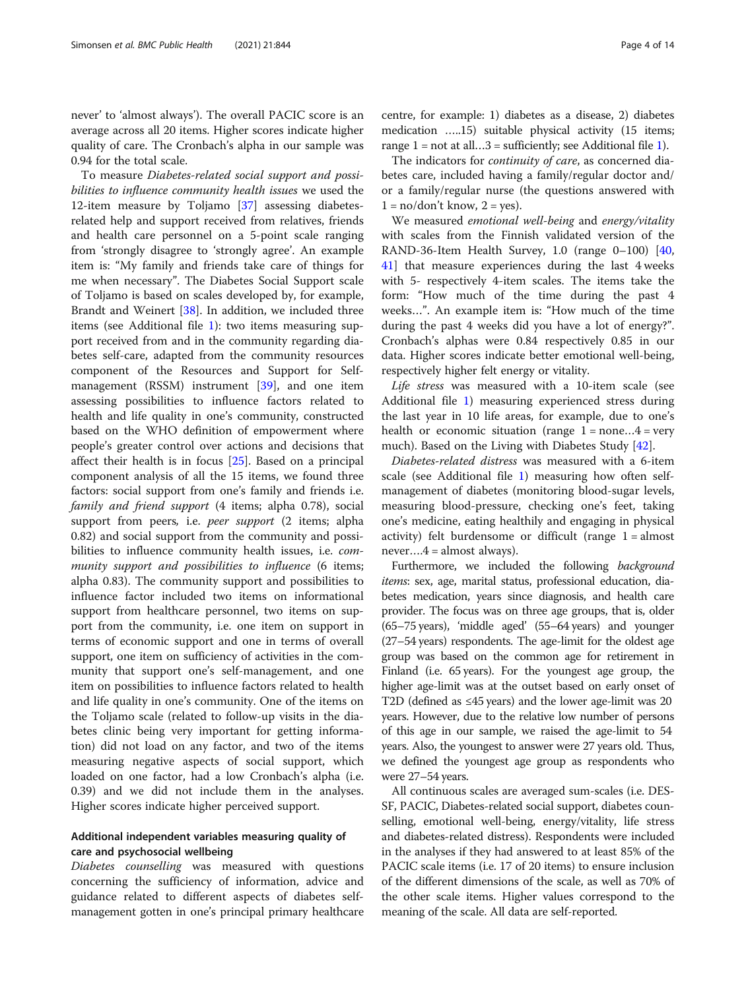To measure Diabetes-related social support and possibilities to influence community health issues we used the 12-item measure by Toljamo [[37\]](#page-12-0) assessing diabetesrelated help and support received from relatives, friends and health care personnel on a 5-point scale ranging from 'strongly disagree to 'strongly agree'. An example item is: "My family and friends take care of things for me when necessary". The Diabetes Social Support scale of Toljamo is based on scales developed by, for example, Brandt and Weinert [\[38](#page-12-0)]. In addition, we included three items (see Additional file [1](#page-11-0)): two items measuring support received from and in the community regarding diabetes self-care, adapted from the community resources component of the Resources and Support for Selfmanagement (RSSM) instrument [\[39\]](#page-12-0), and one item assessing possibilities to influence factors related to health and life quality in one's community, constructed based on the WHO definition of empowerment where people's greater control over actions and decisions that affect their health is in focus [\[25](#page-12-0)]. Based on a principal component analysis of all the 15 items, we found three factors: social support from one's family and friends i.e. family and friend support (4 items; alpha 0.78), social support from peers, i.e. peer support (2 items; alpha 0.82) and social support from the community and possibilities to influence community health issues, i.e. community support and possibilities to influence (6 items; alpha 0.83). The community support and possibilities to influence factor included two items on informational support from healthcare personnel, two items on support from the community, i.e. one item on support in terms of economic support and one in terms of overall support, one item on sufficiency of activities in the community that support one's self-management, and one item on possibilities to influence factors related to health and life quality in one's community. One of the items on the Toljamo scale (related to follow-up visits in the diabetes clinic being very important for getting information) did not load on any factor, and two of the items measuring negative aspects of social support, which loaded on one factor, had a low Cronbach's alpha (i.e. 0.39) and we did not include them in the analyses. Higher scores indicate higher perceived support.

## Additional independent variables measuring quality of care and psychosocial wellbeing

Diabetes counselling was measured with questions concerning the sufficiency of information, advice and guidance related to different aspects of diabetes selfmanagement gotten in one's principal primary healthcare

centre, for example: 1) diabetes as a disease, 2) diabetes medication …..15) suitable physical activity (15 items; range  $1 = not$  $1 = not$  at all...3 = sufficiently; see Additional file 1).

The indicators for *continuity of care*, as concerned diabetes care, included having a family/regular doctor and/ or a family/regular nurse (the questions answered with  $1 = no/don't know, 2 = yes.$ 

We measured emotional well-being and energy/vitality with scales from the Finnish validated version of the RAND-36-Item Health Survey, 1.0 (range 0–100) [[40](#page-13-0), [41\]](#page-13-0) that measure experiences during the last 4 weeks with 5- respectively 4-item scales. The items take the form: "How much of the time during the past 4 weeks…". An example item is: "How much of the time during the past 4 weeks did you have a lot of energy?". Cronbach's alphas were 0.84 respectively 0.85 in our data. Higher scores indicate better emotional well-being, respectively higher felt energy or vitality.

Life stress was measured with a 10-item scale (see Additional file [1\)](#page-11-0) measuring experienced stress during the last year in 10 life areas, for example, due to one's health or economic situation (range  $1 = none...4 = very$ much). Based on the Living with Diabetes Study [\[42](#page-13-0)].

Diabetes-related distress was measured with a 6-item scale (see Additional file [1\)](#page-11-0) measuring how often selfmanagement of diabetes (monitoring blood-sugar levels, measuring blood-pressure, checking one's feet, taking one's medicine, eating healthily and engaging in physical activity) felt burdensome or difficult (range  $1 =$  almost  $never....4 = almost always).$ 

Furthermore, we included the following background items: sex, age, marital status, professional education, diabetes medication, years since diagnosis, and health care provider. The focus was on three age groups, that is, older (65–75 years), 'middle aged' (55–64 years) and younger (27–54 years) respondents. The age-limit for the oldest age group was based on the common age for retirement in Finland (i.e. 65 years). For the youngest age group, the higher age-limit was at the outset based on early onset of T2D (defined as ≤45 years) and the lower age-limit was 20 years. However, due to the relative low number of persons of this age in our sample, we raised the age-limit to 54 years. Also, the youngest to answer were 27 years old. Thus, we defined the youngest age group as respondents who were 27–54 years.

All continuous scales are averaged sum-scales (i.e. DES-SF, PACIC, Diabetes-related social support, diabetes counselling, emotional well-being, energy/vitality, life stress and diabetes-related distress). Respondents were included in the analyses if they had answered to at least 85% of the PACIC scale items (i.e. 17 of 20 items) to ensure inclusion of the different dimensions of the scale, as well as 70% of the other scale items. Higher values correspond to the meaning of the scale. All data are self-reported.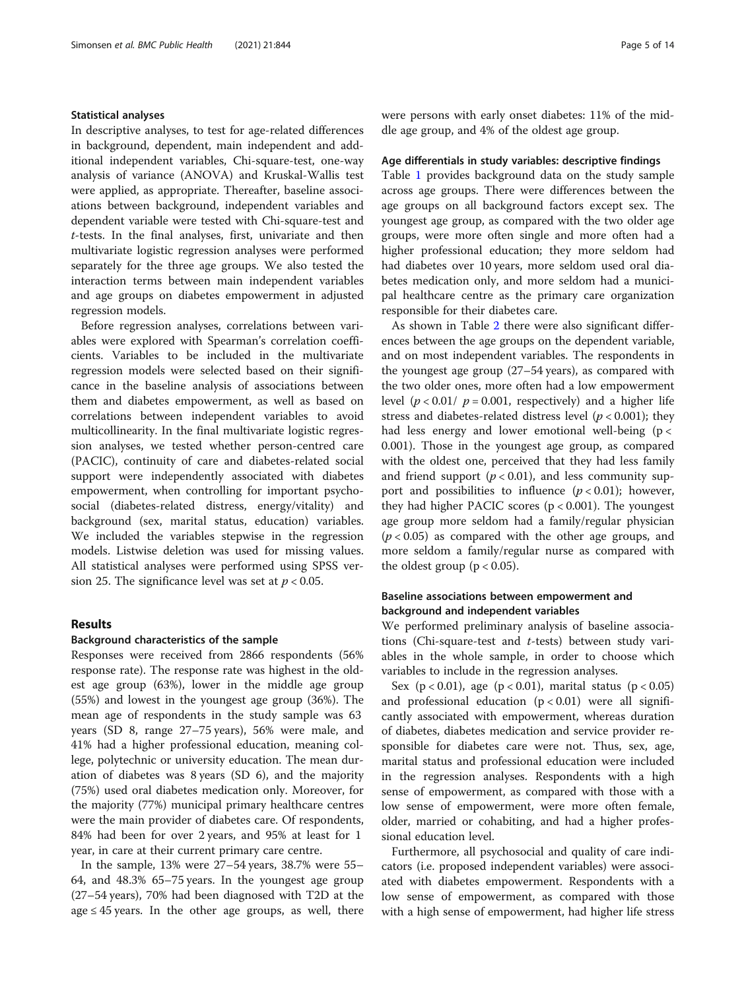## Statistical analyses

In descriptive analyses, to test for age-related differences in background, dependent, main independent and additional independent variables, Chi-square-test, one-way analysis of variance (ANOVA) and Kruskal-Wallis test were applied, as appropriate. Thereafter, baseline associations between background, independent variables and dependent variable were tested with Chi-square-test and t-tests. In the final analyses, first, univariate and then multivariate logistic regression analyses were performed separately for the three age groups. We also tested the interaction terms between main independent variables and age groups on diabetes empowerment in adjusted regression models.

Before regression analyses, correlations between variables were explored with Spearman's correlation coefficients. Variables to be included in the multivariate regression models were selected based on their significance in the baseline analysis of associations between them and diabetes empowerment, as well as based on correlations between independent variables to avoid multicollinearity. In the final multivariate logistic regression analyses, we tested whether person-centred care (PACIC), continuity of care and diabetes-related social support were independently associated with diabetes empowerment, when controlling for important psychosocial (diabetes-related distress, energy/vitality) and background (sex, marital status, education) variables. We included the variables stepwise in the regression models. Listwise deletion was used for missing values. All statistical analyses were performed using SPSS version 25. The significance level was set at  $p < 0.05$ .

## Results

## Background characteristics of the sample

Responses were received from 2866 respondents (56% response rate). The response rate was highest in the oldest age group (63%), lower in the middle age group (55%) and lowest in the youngest age group (36%). The mean age of respondents in the study sample was 63 years (SD 8, range 27–75 years), 56% were male, and 41% had a higher professional education, meaning college, polytechnic or university education. The mean duration of diabetes was 8 years (SD 6), and the majority (75%) used oral diabetes medication only. Moreover, for the majority (77%) municipal primary healthcare centres were the main provider of diabetes care. Of respondents, 84% had been for over 2 years, and 95% at least for 1 year, in care at their current primary care centre.

In the sample, 13% were 27–54 years, 38.7% were 55– 64, and 48.3% 65–75 years. In the youngest age group (27–54 years), 70% had been diagnosed with T2D at the age  $\leq$  45 years. In the other age groups, as well, there were persons with early onset diabetes: 11% of the middle age group, and 4% of the oldest age group.

#### Age differentials in study variables: descriptive findings

Table [1](#page-5-0) provides background data on the study sample across age groups. There were differences between the age groups on all background factors except sex. The youngest age group, as compared with the two older age groups, were more often single and more often had a higher professional education; they more seldom had had diabetes over 10 years, more seldom used oral diabetes medication only, and more seldom had a municipal healthcare centre as the primary care organization responsible for their diabetes care.

As shown in Table [2](#page-6-0) there were also significant differences between the age groups on the dependent variable, and on most independent variables. The respondents in the youngest age group (27–54 years), as compared with the two older ones, more often had a low empowerment level  $(p < 0.01 / p = 0.001$ , respectively) and a higher life stress and diabetes-related distress level ( $p < 0.001$ ); they had less energy and lower emotional well-being ( $p <$ 0.001). Those in the youngest age group, as compared with the oldest one, perceived that they had less family and friend support  $(p < 0.01)$ , and less community support and possibilities to influence  $(p < 0.01)$ ; however, they had higher PACIC scores  $(p < 0.001)$ . The youngest age group more seldom had a family/regular physician  $(p < 0.05)$  as compared with the other age groups, and more seldom a family/regular nurse as compared with the oldest group ( $p < 0.05$ ).

## Baseline associations between empowerment and background and independent variables

We performed preliminary analysis of baseline associations (Chi-square-test and  $t$ -tests) between study variables in the whole sample, in order to choose which variables to include in the regression analyses.

Sex ( $p < 0.01$ ), age ( $p < 0.01$ ), marital status ( $p < 0.05$ ) and professional education  $(p < 0.01)$  were all significantly associated with empowerment, whereas duration of diabetes, diabetes medication and service provider responsible for diabetes care were not. Thus, sex, age, marital status and professional education were included in the regression analyses. Respondents with a high sense of empowerment, as compared with those with a low sense of empowerment, were more often female, older, married or cohabiting, and had a higher professional education level.

Furthermore, all psychosocial and quality of care indicators (i.e. proposed independent variables) were associated with diabetes empowerment. Respondents with a low sense of empowerment, as compared with those with a high sense of empowerment, had higher life stress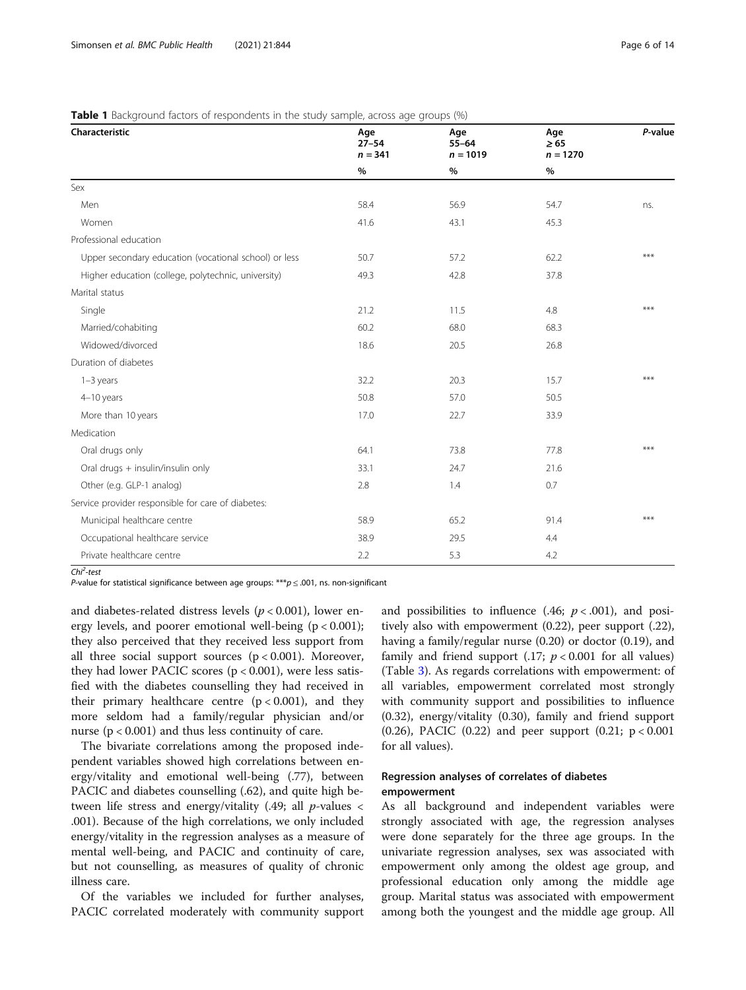| Characteristic                                        | Age<br>$27 - 54$<br>$n = 341$ | Age<br>$55 - 64$<br>$n = 1019$ | Age<br>$\geq 65$<br>$n = 1270$ | P-value |
|-------------------------------------------------------|-------------------------------|--------------------------------|--------------------------------|---------|
|                                                       | $\%$                          | $\%$                           | $\%$                           |         |
| Sex                                                   |                               |                                |                                |         |
| Men                                                   | 58.4                          | 56.9                           | 54.7                           | ns.     |
| Women                                                 | 41.6                          | 43.1                           | 45.3                           |         |
| Professional education                                |                               |                                |                                |         |
| Upper secondary education (vocational school) or less | 50.7                          | 57.2                           | 62.2                           | ***     |
| Higher education (college, polytechnic, university)   | 49.3                          | 42.8                           | 37.8                           |         |
| Marital status                                        |                               |                                |                                |         |
| Single                                                | 21.2                          | 11.5                           | 4.8                            | ***     |
| Married/cohabiting                                    | 60.2                          | 68.0                           | 68.3                           |         |
| Widowed/divorced                                      | 18.6                          | 20.5                           | 26.8                           |         |
| Duration of diabetes                                  |                               |                                |                                |         |
| 1-3 years                                             | 32.2                          | 20.3                           | 15.7                           | ***     |
| 4-10 years                                            | 50.8                          | 57.0                           | 50.5                           |         |
| More than 10 years                                    | 17.0                          | 22.7                           | 33.9                           |         |
| Medication                                            |                               |                                |                                |         |
| Oral drugs only                                       | 64.1                          | 73.8                           | 77.8                           | ***     |
| Oral drugs + insulin/insulin only                     | 33.1                          | 24.7                           | 21.6                           |         |
| Other (e.g. GLP-1 analog)                             | 2.8                           | 1.4                            | 0.7                            |         |
| Service provider responsible for care of diabetes:    |                               |                                |                                |         |
| Municipal healthcare centre                           | 58.9                          | 65.2                           | 91.4                           | ***     |
| Occupational healthcare service                       | 38.9                          | 29.5                           | 4.4                            |         |
| Private healthcare centre                             | 2.2                           | 5.3                            | 4.2                            |         |

## <span id="page-5-0"></span>**Table 1** Background factors of respondents in the study sample, across age groups (%)

Chi<sup>2</sup>-test

P-value for statistical significance between age groups: \*\*\* $p \le 0.001$ , ns. non-significant

and diabetes-related distress levels ( $p < 0.001$ ), lower energy levels, and poorer emotional well-being  $(p < 0.001)$ ; they also perceived that they received less support from all three social support sources  $(p < 0.001)$ . Moreover, they had lower PACIC scores  $(p < 0.001)$ , were less satisfied with the diabetes counselling they had received in their primary healthcare centre  $(p < 0.001)$ , and they more seldom had a family/regular physician and/or nurse ( $p < 0.001$ ) and thus less continuity of care.

The bivariate correlations among the proposed independent variables showed high correlations between energy/vitality and emotional well-being (.77), between PACIC and diabetes counselling (.62), and quite high between life stress and energy/vitality  $(.49;$  all p-values < .001). Because of the high correlations, we only included energy/vitality in the regression analyses as a measure of mental well-being, and PACIC and continuity of care, but not counselling, as measures of quality of chronic illness care.

Of the variables we included for further analyses, PACIC correlated moderately with community support and possibilities to influence (.46;  $p < .001$ ), and positively also with empowerment (0.22), peer support (.22), having a family/regular nurse (0.20) or doctor (0.19), and family and friend support  $(.17; p < 0.001$  for all values) (Table [3\)](#page-6-0). As regards correlations with empowerment: of all variables, empowerment correlated most strongly with community support and possibilities to influence (0.32), energy/vitality (0.30), family and friend support (0.26), PACIC (0.22) and peer support (0.21; p < 0.001 for all values).

## Regression analyses of correlates of diabetes empowerment

As all background and independent variables were strongly associated with age, the regression analyses were done separately for the three age groups. In the univariate regression analyses, sex was associated with empowerment only among the oldest age group, and professional education only among the middle age group. Marital status was associated with empowerment among both the youngest and the middle age group. All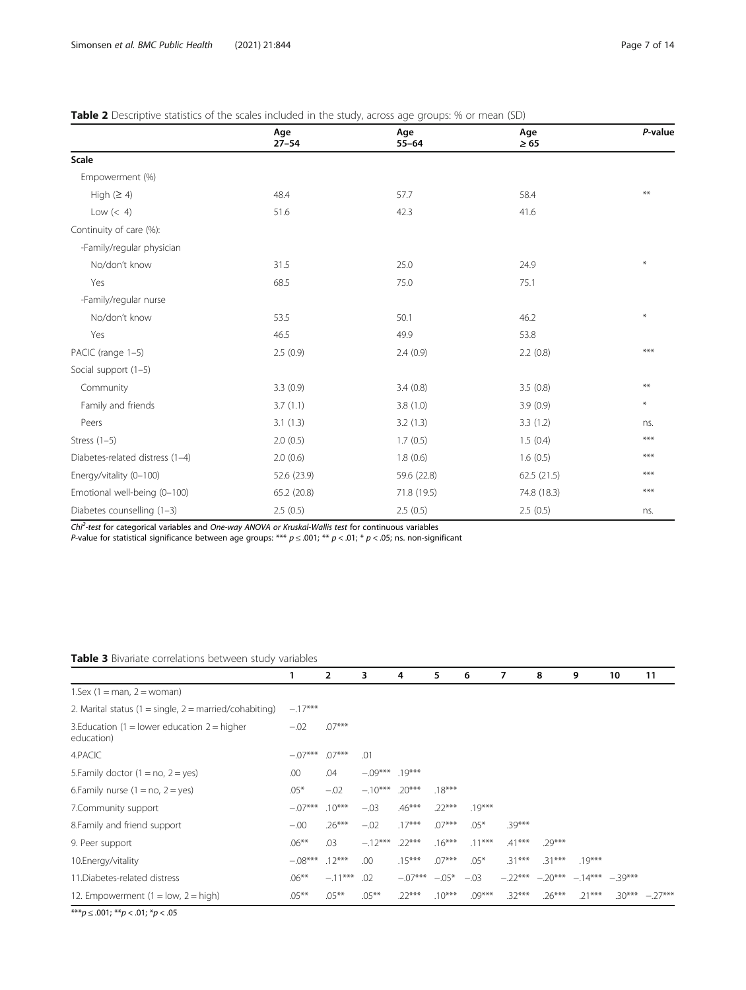<span id="page-6-0"></span>

| Table 2 Descriptive statistics of the scales included in the study, across age groups: % or mean (SD) |
|-------------------------------------------------------------------------------------------------------|
|-------------------------------------------------------------------------------------------------------|

|                                 | Age<br>$27 - 54$ | Age<br>$55 - 64$ | Age<br>$\geq 65$ | P-value |
|---------------------------------|------------------|------------------|------------------|---------|
| Scale                           |                  |                  |                  |         |
| Empowerment (%)                 |                  |                  |                  |         |
| High $(≥ 4)$                    | 48.4             | 57.7             | 58.4             | **      |
| Low $(< 4)$                     | 51.6             | 42.3             | 41.6             |         |
| Continuity of care (%):         |                  |                  |                  |         |
| -Family/regular physician       |                  |                  |                  |         |
| No/don't know                   | 31.5             | 25.0             | 24.9             | $*$     |
| Yes                             | 68.5             | 75.0             | 75.1             |         |
| -Family/regular nurse           |                  |                  |                  |         |
| No/don't know                   | 53.5             | 50.1             | 46.2             | $*$     |
| Yes                             | 46.5             | 49.9             | 53.8             |         |
| PACIC (range 1-5)               | 2.5(0.9)         | 2.4(0.9)         | 2.2(0.8)         | $***$   |
| Social support (1-5)            |                  |                  |                  |         |
| Community                       | 3.3(0.9)         | 3.4(0.8)         | 3.5(0.8)         | $***$   |
| Family and friends              | 3.7(1.1)         | 3.8(1.0)         | 3.9(0.9)         | $\ast$  |
| Peers                           | 3.1(1.3)         | 3.2(1.3)         | 3.3(1.2)         | ns.     |
| Stress $(1-5)$                  | 2.0(0.5)         | 1.7(0.5)         | 1.5(0.4)         | ***     |
| Diabetes-related distress (1-4) | 2.0(0.6)         | 1.8(0.6)         | 1.6(0.5)         | ***     |
| Energy/vitality (0-100)         | 52.6 (23.9)      | 59.6 (22.8)      | 62.5(21.5)       | ***     |
| Emotional well-being (0-100)    | 65.2 (20.8)      | 71.8 (19.5)      | 74.8 (18.3)      | ***     |
| Diabetes counselling (1-3)      | 2.5(0.5)         | 2.5(0.5)         | 2.5(0.5)         | ns.     |

Chi<sup>2</sup>-test for categorical variables and One-way ANOVA or Kruskal-Wallis test for continuous variables

P-value for statistical significance between age groups: \*\*\*  $p$   $\leq$  .001; \*\*  $p$   $<$  .01; \*  $p$   $<$  .05; ns. non-significant

## Table 3 Bivariate correlations between study variables

|                                                              | 1         | $\overline{2}$ | 3                 | 4         | 5        | 6        | 7         | 8         | 9                 | 10 | 11               |
|--------------------------------------------------------------|-----------|----------------|-------------------|-----------|----------|----------|-----------|-----------|-------------------|----|------------------|
| $1.5ex$ (1 = man, 2 = woman)                                 |           |                |                   |           |          |          |           |           |                   |    |                  |
| 2. Marital status (1 = single, 2 = married/cohabiting)       | $-.17***$ |                |                   |           |          |          |           |           |                   |    |                  |
| 3. Education (1 = lower education $2 =$ higher<br>education) | $-.02$    | $.07***$       |                   |           |          |          |           |           |                   |    |                  |
| 4.PACIC                                                      | $-.07***$ | $.07***$       | .01               |           |          |          |           |           |                   |    |                  |
| 5. Family doctor $(1 = no, 2 = yes)$                         | .00       | .04            | $-0.09***$ .19*** |           |          |          |           |           |                   |    |                  |
| 6. Family nurse $(1 = no, 2 = yes)$                          | $.05*$    | $-.02$         | $-.10***$         | $.20***$  | $.18***$ |          |           |           |                   |    |                  |
| 7. Community support                                         | $-.07***$ | $.10***$       | $-.03$            | $.46***$  | $.22***$ | $.19***$ |           |           |                   |    |                  |
| 8. Family and friend support                                 | $-.00$    | $.26***$       | $-.02$            | $.17***$  | $.07***$ | $.05*$   | $.39***$  |           |                   |    |                  |
| 9. Peer support                                              | $.06***$  | .03            | $-.12***$         | $.22***$  | $.16***$ | $.11***$ | $.41***$  | $.29***$  |                   |    |                  |
| 10. Energy/vitality                                          | $-.08***$ | $.12***$       | .00               | $.15***$  | $.07***$ | $.05*$   | $.31***$  | $.31***$  | $.19***$          |    |                  |
| 11. Diabetes-related distress                                | $.06***$  | $-.11***$      | .02               | $-.07***$ | $-.05*$  | $-.03$   | $-.22***$ | $-.20***$ | $-14***$ $-39***$ |    |                  |
| 12. Empowerment $(1 = low, 2 = high)$                        | $.05***$  | $.05***$       | $.05***$          | $.22***$  | $.10***$ | $.09***$ | $.32***$  | $.26***$  | $.21***$          |    | $.30*** -.27***$ |

\*\*\* $p \leq .001;$  \*\* $p < .01;$  \* $p < .05$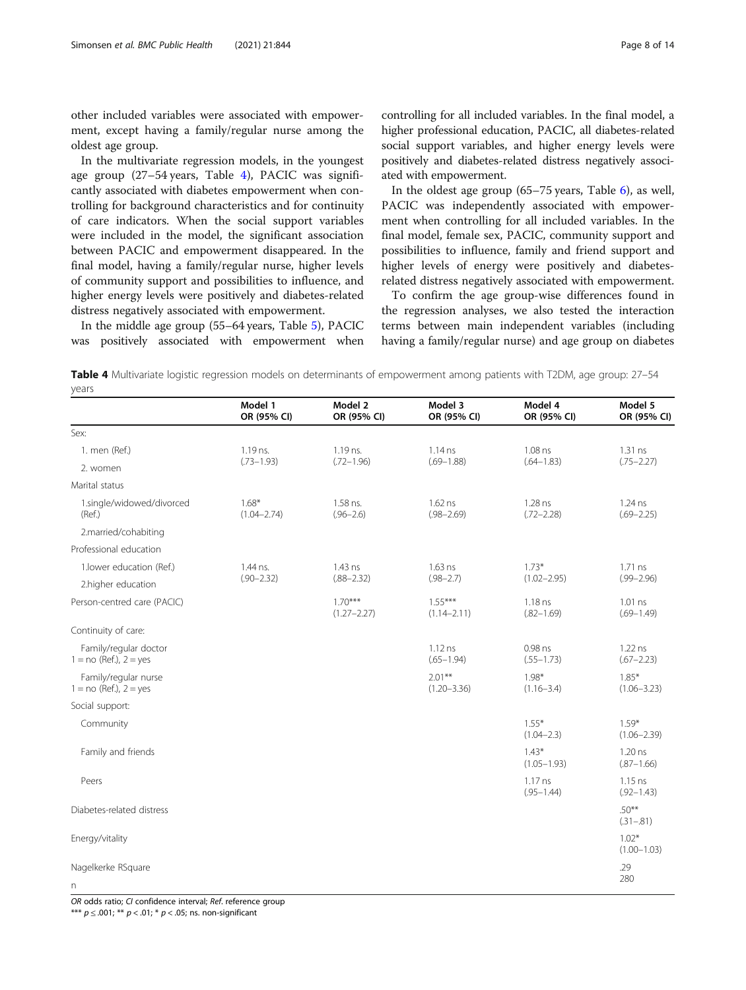other included variables were associated with empowerment, except having a family/regular nurse among the oldest age group.

In the multivariate regression models, in the youngest age group (27–54 years, Table 4), PACIC was significantly associated with diabetes empowerment when controlling for background characteristics and for continuity of care indicators. When the social support variables were included in the model, the significant association between PACIC and empowerment disappeared. In the final model, having a family/regular nurse, higher levels of community support and possibilities to influence, and higher energy levels were positively and diabetes-related distress negatively associated with empowerment.

In the middle age group (55–64 years, Table [5](#page-8-0)), PACIC was positively associated with empowerment when controlling for all included variables. In the final model, a higher professional education, PACIC, all diabetes-related social support variables, and higher energy levels were positively and diabetes-related distress negatively associated with empowerment.

In the oldest age group (65–75 years, Table [6](#page-9-0)), as well, PACIC was independently associated with empowerment when controlling for all included variables. In the final model, female sex, PACIC, community support and possibilities to influence, family and friend support and higher levels of energy were positively and diabetesrelated distress negatively associated with empowerment.

To confirm the age group-wise differences found in the regression analyses, we also tested the interaction terms between main independent variables (including having a family/regular nurse) and age group on diabetes

Table 4 Multivariate logistic regression models on determinants of empowerment among patients with T2DM, age group: 27-54 years

|                                                     | Model 1<br>OR (95% CI)     | Model 2<br>OR (95% CI)       | Model 3<br>OR (95% CI)       | Model 4<br>OR (95% CI)      | Model 5<br>OR (95% CI)      |
|-----------------------------------------------------|----------------------------|------------------------------|------------------------------|-----------------------------|-----------------------------|
| Sex:                                                |                            |                              |                              |                             |                             |
| 1. men (Ref.)                                       | 1.19 ns.                   | 1.19 ns.                     | 1.14 ns                      | 1.08 ns                     | 1.31 ns                     |
| 2. women                                            | $(.73 - 1.93)$             | $(.72 - 1.96)$               | $(.69 - 1.88)$               | $(.64 - 1.83)$              | $(.75 - 2.27)$              |
| Marital status                                      |                            |                              |                              |                             |                             |
| 1.single/widowed/divorced<br>(Ref.)                 | $1.68*$<br>$(1.04 - 2.74)$ | 1.58 ns.<br>$(.96 - 2.6)$    | 1.62 ns<br>$(.98 - 2.69)$    | 1.28 ns<br>$(.72 - 2.28)$   | 1.24 ns<br>$(.69 - 2.25)$   |
| 2.married/cohabiting                                |                            |                              |                              |                             |                             |
| Professional education                              |                            |                              |                              |                             |                             |
| 1.lower education (Ref.)                            | 1.44 ns.                   | 1.43 ns                      | 1.63 ns                      | $1.73*$                     | $1.71$ ns                   |
| 2.higher education                                  | $(.90 - 2.32)$             | $(.88 - 2.32)$               | $(.98 - 2.7)$                | $(1.02 - 2.95)$             | $(.99 - 2.96)$              |
| Person-centred care (PACIC)                         |                            | $1.70***$<br>$(1.27 - 2.27)$ | $1.55***$<br>$(1.14 - 2.11)$ | 1.18 ns<br>$(.82 - 1.69)$   | $1.01$ ns<br>$(.69 - 1.49)$ |
| Continuity of care:                                 |                            |                              |                              |                             |                             |
| Family/regular doctor<br>$1 = no$ (Ref.), $2 = yes$ |                            |                              | $1.12$ ns<br>$(.65 - 1.94)$  | 0.98 ns<br>$(.55 - 1.73)$   | 1.22 ns<br>$(.67 - 2.23)$   |
| Family/regular nurse<br>$1 = no$ (Ref.), $2 = yes$  |                            |                              | $2.01***$<br>$(1.20 - 3.36)$ | $1.98*$<br>$(1.16 - 3.4)$   | $1.85*$<br>$(1.06 - 3.23)$  |
| Social support:                                     |                            |                              |                              |                             |                             |
| Community                                           |                            |                              |                              | $1.55*$<br>$(1.04 - 2.3)$   | $1.59*$<br>$(1.06 - 2.39)$  |
| Family and friends                                  |                            |                              |                              | $1.43*$<br>$(1.05 - 1.93)$  | $1.20$ ns<br>$(.87 - 1.66)$ |
| Peers                                               |                            |                              |                              | $1.17$ ns<br>$(.95 - 1.44)$ | $1.15$ ns<br>$(.92 - 1.43)$ |
| Diabetes-related distress                           |                            |                              |                              |                             | $.50***$<br>$(.31 - .81)$   |
| Energy/vitality                                     |                            |                              |                              |                             | $1.02*$<br>$(1.00 - 1.03)$  |
| Nagelkerke RSquare                                  |                            |                              |                              |                             | .29                         |
| n                                                   |                            |                              |                              |                             | 280                         |

OR odds ratio; CI confidence interval; Ref. reference group

\*\*\*  $p \le 0.001$ ; \*\*  $p < 0.01$ ; \*  $p < 0.05$ ; ns. non-significant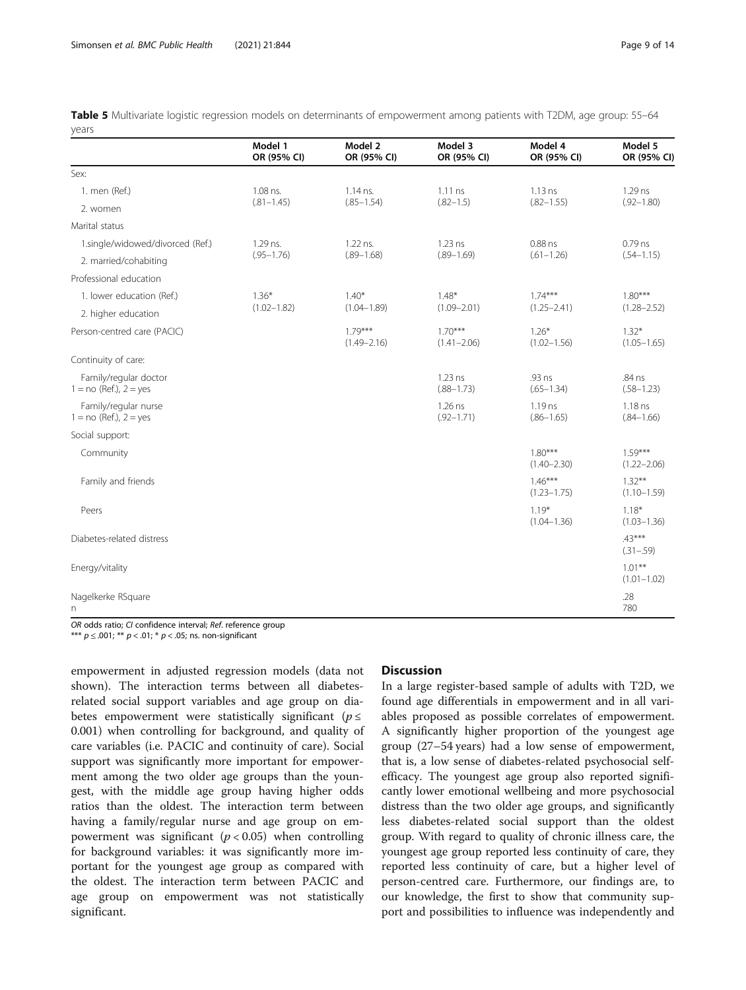<span id="page-8-0"></span>

| Table 5 Multivariate logistic regression models on determinants of empowerment among patients with T2DM, age group: 55-64 |  |  |  |  |
|---------------------------------------------------------------------------------------------------------------------------|--|--|--|--|
| vears                                                                                                                     |  |  |  |  |

|                                                     | Model 1<br>OR (95% CI) | Model 2<br>OR (95% CI)       | Model 3<br>OR (95% CI)       | Model 4<br>OR (95% CI)       | Model 5<br>OR (95% CI)       |  |
|-----------------------------------------------------|------------------------|------------------------------|------------------------------|------------------------------|------------------------------|--|
| Sex:                                                |                        |                              |                              |                              |                              |  |
| 1. men (Ref.)                                       | 1.08 ns.               | $1.14$ ns.                   | 1.11ns                       | $1.13$ ns                    | 1.29 ns                      |  |
| 2. women                                            | $(.81 - 1.45)$         | $(.85 - 1.54)$               | $(.82 - 1.5)$                | $(.82 - 1.55)$               | $(.92 - 1.80)$               |  |
| Marital status                                      |                        |                              |                              |                              |                              |  |
| 1.single/widowed/divorced (Ref.)                    | 1.29 ns.               | 1.22 ns.                     | $1.23$ ns                    | 0.88 ns                      | $0.79$ ns                    |  |
| 2. married/cohabiting                               | $(.95 - 1.76)$         | $(.89 - 1.68)$               | $(.89 - 1.69)$               | $(.61 - 1.26)$               | $(.54 - 1.15)$               |  |
| Professional education                              |                        |                              |                              |                              |                              |  |
| 1. lower education (Ref.)                           | $1.36*$                | $1.40*$                      | $1.48*$                      | $1.74***$                    | $1.80***$                    |  |
| 2. higher education                                 | $(1.02 - 1.82)$        | $(1.04 - 1.89)$              | $(1.09 - 2.01)$              | $(1.25 - 2.41)$              | $(1.28 - 2.52)$              |  |
| Person-centred care (PACIC)                         |                        | $1.79***$<br>$(1.49 - 2.16)$ | $1.70***$<br>$(1.41 - 2.06)$ | $1.26*$<br>$(1.02 - 1.56)$   | $1.32*$<br>$(1.05 - 1.65)$   |  |
| Continuity of care:                                 |                        |                              |                              |                              |                              |  |
| Family/regular doctor<br>$1 = no$ (Ref.), $2 = yes$ |                        |                              | $1.23$ ns<br>$(.88 - 1.73)$  | .93 ns<br>$(.65 - 1.34)$     | .84 ns<br>$(.58-1.23)$       |  |
| Family/regular nurse<br>$1 = no$ (Ref.), $2 = yes$  |                        |                              | 1.26 ns<br>$(.92 - 1.71)$    | 1.19 ns<br>$(.86 - 1.65)$    | $1.18$ ns<br>$(.84 - 1.66)$  |  |
| Social support:                                     |                        |                              |                              |                              |                              |  |
| Community                                           |                        |                              |                              | $1.80***$<br>$(1.40 - 2.30)$ | $1.59***$<br>$(1.22 - 2.06)$ |  |
| Family and friends                                  |                        |                              |                              | $1.46***$<br>$(1.23 - 1.75)$ | $1.32***$<br>$(1.10 - 1.59)$ |  |
| Peers                                               |                        |                              |                              | $1.19*$<br>$(1.04 - 1.36)$   | $1.18*$<br>$(1.03 - 1.36)$   |  |
| Diabetes-related distress                           |                        |                              |                              |                              | $43***$<br>$(.31 - .59)$     |  |
| Energy/vitality                                     |                        |                              |                              |                              | $1.01***$<br>$(1.01 - 1.02)$ |  |
| Nagelkerke RSquare<br>n                             |                        |                              |                              |                              | .28<br>780                   |  |

OR odds ratio; CI confidence interval; Ref. reference group

\*\*\*  $p \le 0.001$ ; \*\*  $p < 0.01$ ; \*  $p < 0.05$ ; ns. non-significant

empowerment in adjusted regression models (data not shown). The interaction terms between all diabetesrelated social support variables and age group on diabetes empowerment were statistically significant ( $p \leq$ 0.001) when controlling for background, and quality of care variables (i.e. PACIC and continuity of care). Social support was significantly more important for empowerment among the two older age groups than the youngest, with the middle age group having higher odds ratios than the oldest. The interaction term between having a family/regular nurse and age group on empowerment was significant ( $p < 0.05$ ) when controlling for background variables: it was significantly more important for the youngest age group as compared with the oldest. The interaction term between PACIC and age group on empowerment was not statistically significant.

## **Discussion**

In a large register-based sample of adults with T2D, we found age differentials in empowerment and in all variables proposed as possible correlates of empowerment. A significantly higher proportion of the youngest age group (27–54 years) had a low sense of empowerment, that is, a low sense of diabetes-related psychosocial selfefficacy. The youngest age group also reported significantly lower emotional wellbeing and more psychosocial distress than the two older age groups, and significantly less diabetes-related social support than the oldest group. With regard to quality of chronic illness care, the youngest age group reported less continuity of care, they reported less continuity of care, but a higher level of person-centred care. Furthermore, our findings are, to our knowledge, the first to show that community support and possibilities to influence was independently and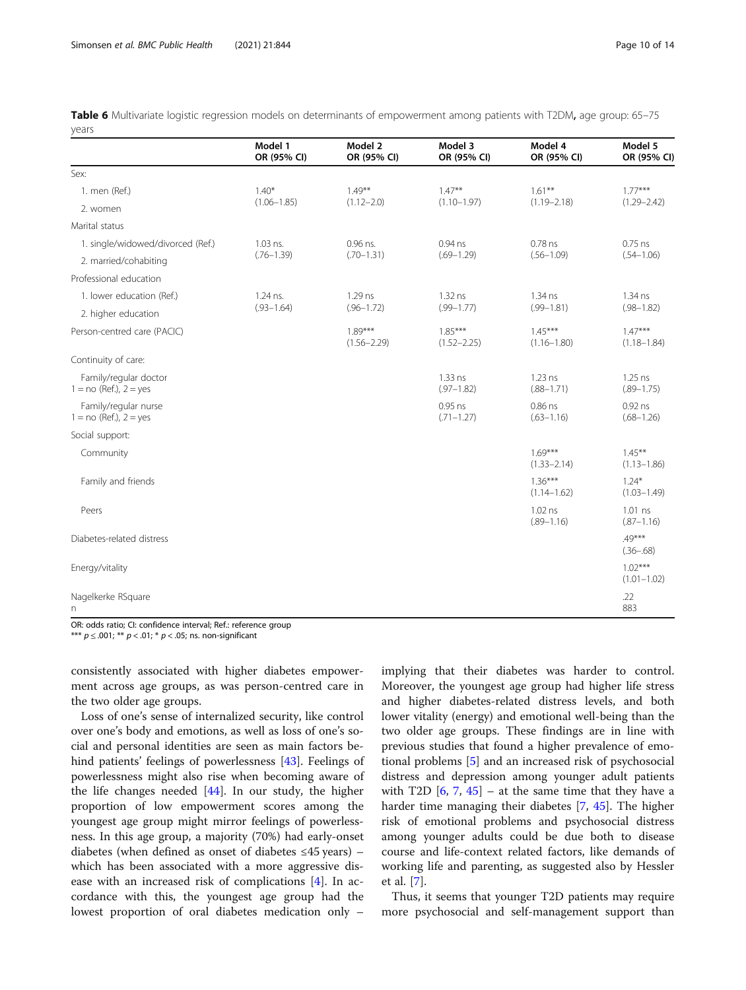<span id="page-9-0"></span>

|       |  |  | Table 6 Multivariate logistic regression models on determinants of empowerment among patients with T2DM, age group: 65-75 |  |  |  |
|-------|--|--|---------------------------------------------------------------------------------------------------------------------------|--|--|--|
| vears |  |  |                                                                                                                           |  |  |  |

|                                                     | Model 1<br>OR (95% CI) | Model 2<br>OR (95% CI)       | Model 3<br>OR (95% CI)       | Model 4<br>OR (95% CI)       | Model 5<br>OR (95% CI)       |  |
|-----------------------------------------------------|------------------------|------------------------------|------------------------------|------------------------------|------------------------------|--|
| Sex:                                                |                        |                              |                              |                              |                              |  |
| 1. men (Ref.)                                       | $1.40*$                | $1.49***$                    | $1.47***$                    | $1.61***$                    | $1.77***$                    |  |
| 2. women                                            | $(1.06 - 1.85)$        | $(1.12 - 2.0)$               | $(1.10 - 1.97)$              | $(1.19 - 2.18)$              | $(1.29 - 2.42)$              |  |
| Marital status                                      |                        |                              |                              |                              |                              |  |
| 1. single/widowed/divorced (Ref.)                   | 1.03 ns.               | 0.96 ns.                     | $0.94$ ns                    | $0.78$ ns                    | $0.75$ ns                    |  |
| 2. married/cohabiting                               | $(.76 - 1.39)$         | $(.70-1.31)$                 | $(.69 - 1.29)$               | $(.56 - 1.09)$               | $(.54 - 1.06)$               |  |
| Professional education                              |                        |                              |                              |                              |                              |  |
| 1. lower education (Ref.)                           | 1.24 ns.               | 1.29 ns                      | 1.32 ns                      | 1.34 ns                      | 1.34 ns                      |  |
| 2. higher education                                 | $(.93 - 1.64)$         | $(.96 - 1.72)$               | $(.99 - 1.77)$               | $(.99 - 1.81)$               | $(.98 - 1.82)$               |  |
| Person-centred care (PACIC)                         |                        | $1.89***$<br>$(1.56 - 2.29)$ | $1.85***$<br>$(1.52 - 2.25)$ | $1.45***$<br>$(1.16 - 1.80)$ | $1.47***$<br>$(1.18 - 1.84)$ |  |
| Continuity of care:                                 |                        |                              |                              |                              |                              |  |
| Family/regular doctor<br>$1 = no$ (Ref.), $2 = yes$ |                        |                              | 1.33 ns<br>$(.97 - 1.82)$    | $1.23$ ns<br>$(.88 - 1.71)$  | $1.25$ ns<br>$(.89 - 1.75)$  |  |
| Family/regular nurse<br>$1 = no$ (Ref.), $2 = yes$  |                        |                              | 0.95 ns<br>$(.71 - 1.27)$    | 0.86 ns<br>$(.63 - 1.16)$    | $0.92$ ns<br>$(.68-1.26)$    |  |
| Social support:                                     |                        |                              |                              |                              |                              |  |
| Community                                           |                        |                              |                              | $1.69***$<br>$(1.33 - 2.14)$ | $1.45***$<br>$(1.13 - 1.86)$ |  |
| Family and friends                                  |                        |                              |                              | $1.36***$<br>$(1.14 - 1.62)$ | $1.24*$<br>$(1.03 - 1.49)$   |  |
| Peers                                               |                        |                              |                              | 1.02 ns<br>$(.89 - 1.16)$    | 1.01 ns<br>$(.87 - 1.16)$    |  |
| Diabetes-related distress                           |                        |                              |                              |                              | $49***$<br>$(.36 - .68)$     |  |
| Energy/vitality                                     |                        |                              |                              |                              | $1.02***$<br>$(1.01 - 1.02)$ |  |
| Nagelkerke RSquare<br>n                             |                        |                              |                              |                              | .22<br>883                   |  |

OR: odds ratio; CI: confidence interval; Ref.: reference group

\*\*\*  $p \le 0.001$ ; \*\*  $p < 0.01$ ; \*  $p < 0.05$ ; ns. non-significant

consistently associated with higher diabetes empowerment across age groups, as was person-centred care in the two older age groups.

Loss of one's sense of internalized security, like control over one's body and emotions, as well as loss of one's social and personal identities are seen as main factors behind patients' feelings of powerlessness [[43\]](#page-13-0). Feelings of powerlessness might also rise when becoming aware of the life changes needed [[44\]](#page-13-0). In our study, the higher proportion of low empowerment scores among the youngest age group might mirror feelings of powerlessness. In this age group, a majority (70%) had early-onset diabetes (when defined as onset of diabetes ≤45 years) – which has been associated with a more aggressive disease with an increased risk of complications [\[4](#page-12-0)]. In accordance with this, the youngest age group had the lowest proportion of oral diabetes medication only – implying that their diabetes was harder to control. Moreover, the youngest age group had higher life stress and higher diabetes-related distress levels, and both lower vitality (energy) and emotional well-being than the two older age groups. These findings are in line with previous studies that found a higher prevalence of emotional problems [\[5](#page-12-0)] and an increased risk of psychosocial distress and depression among younger adult patients with T2D  $[6, 7, 45]$  $[6, 7, 45]$  $[6, 7, 45]$  $[6, 7, 45]$  $[6, 7, 45]$  $[6, 7, 45]$  – at the same time that they have a harder time managing their diabetes [\[7](#page-12-0), [45\]](#page-13-0). The higher risk of emotional problems and psychosocial distress among younger adults could be due both to disease course and life-context related factors, like demands of working life and parenting, as suggested also by Hessler et al. [\[7](#page-12-0)].

Thus, it seems that younger T2D patients may require more psychosocial and self-management support than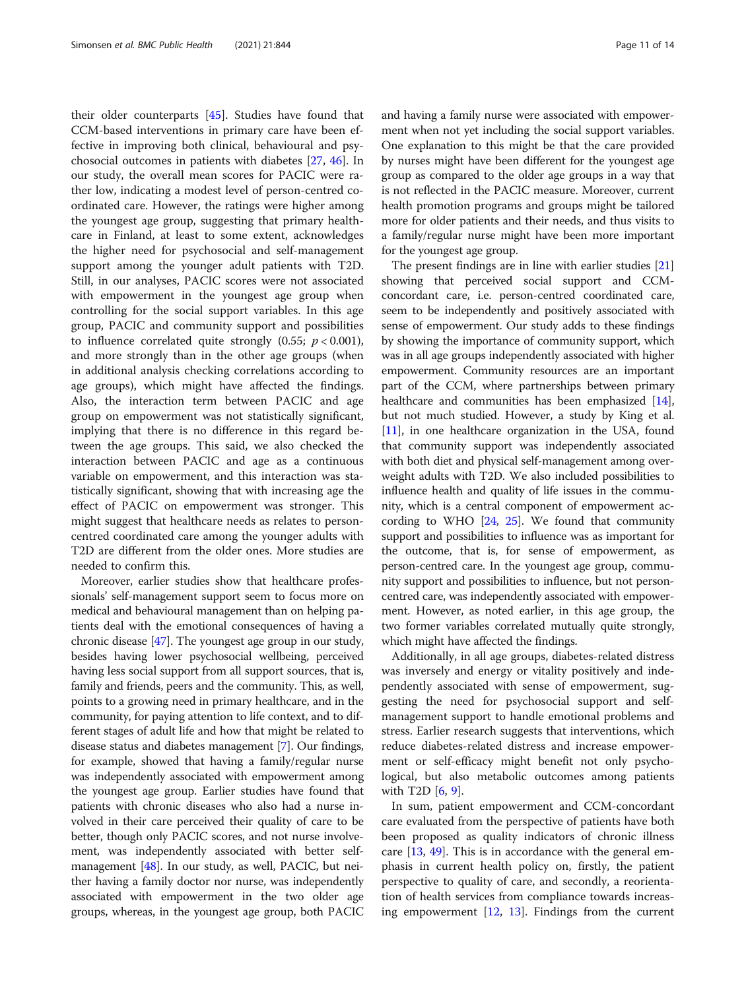their older counterparts [[45\]](#page-13-0). Studies have found that CCM-based interventions in primary care have been effective in improving both clinical, behavioural and psychosocial outcomes in patients with diabetes [\[27,](#page-12-0) [46](#page-13-0)]. In our study, the overall mean scores for PACIC were rather low, indicating a modest level of person-centred coordinated care. However, the ratings were higher among the youngest age group, suggesting that primary healthcare in Finland, at least to some extent, acknowledges the higher need for psychosocial and self-management support among the younger adult patients with T2D. Still, in our analyses, PACIC scores were not associated with empowerment in the youngest age group when controlling for the social support variables. In this age group, PACIC and community support and possibilities to influence correlated quite strongly (0.55;  $p < 0.001$ ), and more strongly than in the other age groups (when in additional analysis checking correlations according to age groups), which might have affected the findings. Also, the interaction term between PACIC and age group on empowerment was not statistically significant, implying that there is no difference in this regard between the age groups. This said, we also checked the interaction between PACIC and age as a continuous variable on empowerment, and this interaction was statistically significant, showing that with increasing age the effect of PACIC on empowerment was stronger. This might suggest that healthcare needs as relates to personcentred coordinated care among the younger adults with T2D are different from the older ones. More studies are needed to confirm this.

Moreover, earlier studies show that healthcare professionals' self-management support seem to focus more on medical and behavioural management than on helping patients deal with the emotional consequences of having a chronic disease [\[47\]](#page-13-0). The youngest age group in our study, besides having lower psychosocial wellbeing, perceived having less social support from all support sources, that is, family and friends, peers and the community. This, as well, points to a growing need in primary healthcare, and in the community, for paying attention to life context, and to different stages of adult life and how that might be related to disease status and diabetes management [\[7](#page-12-0)]. Our findings, for example, showed that having a family/regular nurse was independently associated with empowerment among the youngest age group. Earlier studies have found that patients with chronic diseases who also had a nurse involved in their care perceived their quality of care to be better, though only PACIC scores, and not nurse involvement, was independently associated with better selfmanagement [\[48\]](#page-13-0). In our study, as well, PACIC, but neither having a family doctor nor nurse, was independently associated with empowerment in the two older age groups, whereas, in the youngest age group, both PACIC and having a family nurse were associated with empowerment when not yet including the social support variables. One explanation to this might be that the care provided by nurses might have been different for the youngest age group as compared to the older age groups in a way that is not reflected in the PACIC measure. Moreover, current health promotion programs and groups might be tailored more for older patients and their needs, and thus visits to a family/regular nurse might have been more important for the youngest age group.

The present findings are in line with earlier studies [[21](#page-12-0)] showing that perceived social support and CCMconcordant care, i.e. person-centred coordinated care, seem to be independently and positively associated with sense of empowerment. Our study adds to these findings by showing the importance of community support, which was in all age groups independently associated with higher empowerment. Community resources are an important part of the CCM, where partnerships between primary healthcare and communities has been emphasized [[14](#page-12-0)], but not much studied. However, a study by King et al. [[11](#page-12-0)], in one healthcare organization in the USA, found that community support was independently associated with both diet and physical self-management among overweight adults with T2D. We also included possibilities to influence health and quality of life issues in the community, which is a central component of empowerment according to WHO  $[24, 25]$  $[24, 25]$  $[24, 25]$  $[24, 25]$  $[24, 25]$ . We found that community support and possibilities to influence was as important for the outcome, that is, for sense of empowerment, as person-centred care. In the youngest age group, community support and possibilities to influence, but not personcentred care, was independently associated with empowerment. However, as noted earlier, in this age group, the two former variables correlated mutually quite strongly, which might have affected the findings.

Additionally, in all age groups, diabetes-related distress was inversely and energy or vitality positively and independently associated with sense of empowerment, suggesting the need for psychosocial support and selfmanagement support to handle emotional problems and stress. Earlier research suggests that interventions, which reduce diabetes-related distress and increase empowerment or self-efficacy might benefit not only psychological, but also metabolic outcomes among patients with T2D [\[6](#page-12-0), [9](#page-12-0)].

In sum, patient empowerment and CCM-concordant care evaluated from the perspective of patients have both been proposed as quality indicators of chronic illness care [[13,](#page-12-0) [49\]](#page-13-0). This is in accordance with the general emphasis in current health policy on, firstly, the patient perspective to quality of care, and secondly, a reorientation of health services from compliance towards increasing empowerment [\[12](#page-12-0), [13](#page-12-0)]. Findings from the current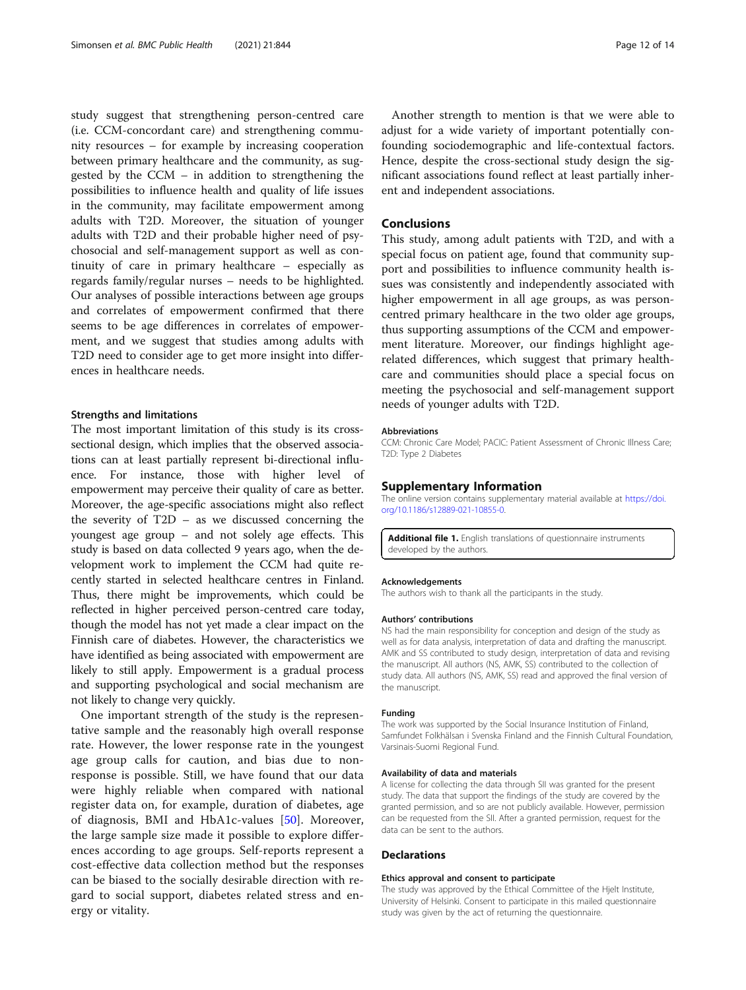<span id="page-11-0"></span>study suggest that strengthening person-centred care (i.e. CCM-concordant care) and strengthening community resources – for example by increasing cooperation between primary healthcare and the community, as suggested by the CCM – in addition to strengthening the possibilities to influence health and quality of life issues in the community, may facilitate empowerment among adults with T2D. Moreover, the situation of younger adults with T2D and their probable higher need of psychosocial and self-management support as well as continuity of care in primary healthcare – especially as regards family/regular nurses – needs to be highlighted. Our analyses of possible interactions between age groups and correlates of empowerment confirmed that there seems to be age differences in correlates of empowerment, and we suggest that studies among adults with T2D need to consider age to get more insight into differences in healthcare needs.

## Strengths and limitations

The most important limitation of this study is its crosssectional design, which implies that the observed associations can at least partially represent bi-directional influence. For instance, those with higher level empowerment may perceive their quality of care as better. Moreover, the age-specific associations might also reflect the severity of T2D – as we discussed concerning the youngest age group – and not solely age effects. This study is based on data collected 9 years ago, when the development work to implement the CCM had quite recently started in selected healthcare centres in Finland. Thus, there might be improvements, which could be reflected in higher perceived person-centred care today, though the model has not yet made a clear impact on the Finnish care of diabetes. However, the characteristics we have identified as being associated with empowerment are likely to still apply. Empowerment is a gradual process and supporting psychological and social mechanism are not likely to change very quickly.

One important strength of the study is the representative sample and the reasonably high overall response rate. However, the lower response rate in the youngest age group calls for caution, and bias due to nonresponse is possible. Still, we have found that our data were highly reliable when compared with national register data on, for example, duration of diabetes, age of diagnosis, BMI and HbA1c-values [[50\]](#page-13-0). Moreover, the large sample size made it possible to explore differences according to age groups. Self-reports represent a cost-effective data collection method but the responses can be biased to the socially desirable direction with regard to social support, diabetes related stress and energy or vitality.

Another strength to mention is that we were able to adjust for a wide variety of important potentially confounding sociodemographic and life-contextual factors. Hence, despite the cross-sectional study design the significant associations found reflect at least partially inherent and independent associations.

## Conclusions

This study, among adult patients with T2D, and with a special focus on patient age, found that community support and possibilities to influence community health issues was consistently and independently associated with higher empowerment in all age groups, as was personcentred primary healthcare in the two older age groups, thus supporting assumptions of the CCM and empowerment literature. Moreover, our findings highlight agerelated differences, which suggest that primary healthcare and communities should place a special focus on meeting the psychosocial and self-management support needs of younger adults with T2D.

#### Abbreviations

CCM: Chronic Care Model; PACIC: Patient Assessment of Chronic Illness Care; T2D: Type 2 Diabetes

#### Supplementary Information

The online version contains supplementary material available at [https://doi.](https://doi.org/10.1186/s12889-021-10855-0) [org/10.1186/s12889-021-10855-0.](https://doi.org/10.1186/s12889-021-10855-0)

Additional file 1. English translations of questionnaire instruments developed by the authors.

#### Acknowledgements

The authors wish to thank all the participants in the study.

## Authors' contributions

NS had the main responsibility for conception and design of the study as well as for data analysis, interpretation of data and drafting the manuscript. AMK and SS contributed to study design, interpretation of data and revising the manuscript. All authors (NS, AMK, SS) contributed to the collection of study data. All authors (NS, AMK, SS) read and approved the final version of the manuscript.

#### Funding

The work was supported by the Social Insurance Institution of Finland, Samfundet Folkhälsan i Svenska Finland and the Finnish Cultural Foundation, Varsinais-Suomi Regional Fund.

#### Availability of data and materials

A license for collecting the data through SII was granted for the present study. The data that support the findings of the study are covered by the granted permission, and so are not publicly available. However, permission can be requested from the SII. After a granted permission, request for the data can be sent to the authors.

#### Declarations

#### Ethics approval and consent to participate

The study was approved by the Ethical Committee of the Hjelt Institute, University of Helsinki. Consent to participate in this mailed questionnaire study was given by the act of returning the questionnaire.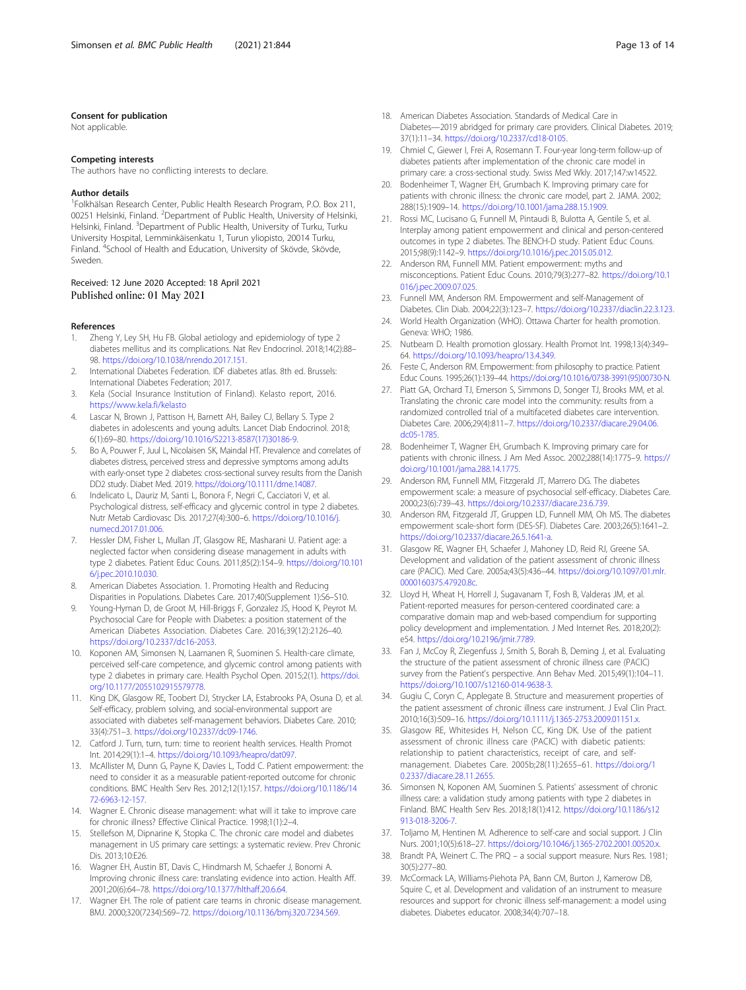### <span id="page-12-0"></span>Consent for publication

Not applicable.

#### Competing interests

The authors have no conflicting interests to declare.

#### Author details

1 Folkhälsan Research Center, Public Health Research Program, P.O. Box 211, 00251 Helsinki, Finland. <sup>2</sup>Department of Public Health, University of Helsinki, Helsinki, Finland. <sup>3</sup>Department of Public Health, University of Turku, Turku University Hospital, Lemminkäisenkatu 1, Turun yliopisto, 20014 Turku, Finland. <sup>4</sup>School of Health and Education, University of Skövde, Skövde, Sweden.

# Received: 12 June 2020 Accepted: 18 April 2021<br>Published online: 01 May 2021

#### References

- 1. Zheng Y, Ley SH, Hu FB. Global aetiology and epidemiology of type 2 diabetes mellitus and its complications. Nat Rev Endocrinol. 2018;14(2):88– 98. <https://doi.org/10.1038/nrendo.2017.151>.
- 2. International Diabetes Federation. IDF diabetes atlas. 8th ed. Brussels: International Diabetes Federation; 2017.
- 3. Kela (Social Insurance Institution of Finland). Kelasto report, 2016. <https://www.kela.fi/kelasto>
- 4. Lascar N, Brown J, Pattison H, Barnett AH, Bailey CJ, Bellary S. Type 2 diabetes in adolescents and young adults. Lancet Diab Endocrinol. 2018; 6(1):69–80. [https://doi.org/10.1016/S2213-8587\(17\)30186-9.](https://doi.org/10.1016/S2213-8587(17)30186-9)
- 5. Bo A, Pouwer F, Juul L, Nicolaisen SK, Maindal HT. Prevalence and correlates of diabetes distress, perceived stress and depressive symptoms among adults with early-onset type 2 diabetes: cross-sectional survey results from the Danish DD2 study. Diabet Med. 2019. <https://doi.org/10.1111/dme.14087>.
- Indelicato L, Dauriz M, Santi L, Bonora F, Negri C, Cacciatori V, et al. Psychological distress, self-efficacy and glycemic control in type 2 diabetes. Nutr Metab Cardiovasc Dis. 2017;27(4):300–6. [https://doi.org/10.1016/j.](https://doi.org/10.1016/j.numecd.2017.01.006) [numecd.2017.01.006.](https://doi.org/10.1016/j.numecd.2017.01.006)
- 7. Hessler DM, Fisher L, Mullan JT, Glasgow RE, Masharani U. Patient age: a neglected factor when considering disease management in adults with type 2 diabetes. Patient Educ Couns. 2011;85(2):154–9. [https://doi.org/10.101](https://doi.org/10.1016/j.pec.2010.10.030) [6/j.pec.2010.10.030.](https://doi.org/10.1016/j.pec.2010.10.030)
- 8. American Diabetes Association. 1. Promoting Health and Reducing Disparities in Populations. Diabetes Care. 2017;40(Supplement 1):S6–S10.
- 9. Young-Hyman D, de Groot M, Hill-Briggs F, Gonzalez JS, Hood K, Peyrot M. Psychosocial Care for People with Diabetes: a position statement of the American Diabetes Association. Diabetes Care. 2016;39(12):2126–40. <https://doi.org/10.2337/dc16-2053>.
- 10. Koponen AM, Simonsen N, Laamanen R, Suominen S. Health-care climate, perceived self-care competence, and glycemic control among patients with type 2 diabetes in primary care. Health Psychol Open. 2015;2(1). [https://doi.](https://doi.org/10.1177/2055102915579778) [org/10.1177/2055102915579778.](https://doi.org/10.1177/2055102915579778)
- 11. King DK, Glasgow RE, Toobert DJ, Strycker LA, Estabrooks PA, Osuna D, et al. Self-efficacy, problem solving, and social-environmental support are associated with diabetes self-management behaviors. Diabetes Care. 2010; 33(4):751–3. <https://doi.org/10.2337/dc09-1746>.
- 12. Catford J. Turn, turn, turn: time to reorient health services. Health Promot Int. 2014;29(1):1–4. <https://doi.org/10.1093/heapro/dat097>.
- 13. McAllister M, Dunn G, Payne K, Davies L, Todd C. Patient empowerment: the need to consider it as a measurable patient-reported outcome for chronic conditions. BMC Health Serv Res. 2012;12(1):157. [https://doi.org/10.1186/14](https://doi.org/10.1186/1472-6963-12-157) [72-6963-12-157](https://doi.org/10.1186/1472-6963-12-157).
- 14. Wagner E. Chronic disease management: what will it take to improve care for chronic illness? Effective Clinical Practice. 1998;1(1):2–4.
- 15. Stellefson M, Dipnarine K, Stopka C. The chronic care model and diabetes management in US primary care settings: a systematic review. Prev Chronic Dis. 2013;10:E26.
- 16. Wagner EH, Austin BT, Davis C, Hindmarsh M, Schaefer J, Bonomi A. Improving chronic illness care: translating evidence into action. Health Aff. 2001;20(6):64–78. <https://doi.org/10.1377/hlthaff.20.6.64>.
- 17. Wagner EH. The role of patient care teams in chronic disease management. BMJ. 2000;320(7234):569–72. <https://doi.org/10.1136/bmj.320.7234.569>.
- 18. American Diabetes Association. Standards of Medical Care in Diabetes—2019 abridged for primary care providers. Clinical Diabetes. 2019; 37(1):11–34. <https://doi.org/10.2337/cd18-0105>.
- 19. Chmiel C, Giewer I, Frei A, Rosemann T. Four-year long-term follow-up of diabetes patients after implementation of the chronic care model in primary care: a cross-sectional study. Swiss Med Wkly. 2017;147:w14522.
- 20. Bodenheimer T, Wagner EH, Grumbach K. Improving primary care for patients with chronic illness: the chronic care model, part 2. JAMA. 2002; 288(15):1909–14. <https://doi.org/10.1001/jama.288.15.1909>.
- 21. Rossi MC, Lucisano G, Funnell M, Pintaudi B, Bulotta A, Gentile S, et al. Interplay among patient empowerment and clinical and person-centered outcomes in type 2 diabetes. The BENCH-D study. Patient Educ Couns. 2015;98(9):1142–9. <https://doi.org/10.1016/j.pec.2015.05.012>.
- 22. Anderson RM, Funnell MM. Patient empowerment: myths and misconceptions. Patient Educ Couns. 2010;79(3):277–82. [https://doi.org/10.1](https://doi.org/10.1016/j.pec.2009.07.025) [016/j.pec.2009.07.025.](https://doi.org/10.1016/j.pec.2009.07.025)
- 23. Funnell MM, Anderson RM. Empowerment and self-Management of Diabetes. Clin Diab. 2004;22(3):123–7. <https://doi.org/10.2337/diaclin.22.3.123>.
- 24. World Health Organization (WHO). Ottawa Charter for health promotion. Geneva: WHO; 1986.
- 25. Nutbeam D. Health promotion glossary. Health Promot Int. 1998;13(4):349– 64. <https://doi.org/10.1093/heapro/13.4.349>.
- 26. Feste C, Anderson RM. Empowerment: from philosophy to practice. Patient Educ Couns. 1995;26(1):139–44. [https://doi.org/10.1016/0738-3991\(95\)00730-N.](https://doi.org/10.1016/0738-3991(95)00730-N)
- 27. Piatt GA, Orchard TJ, Emerson S, Simmons D, Songer TJ, Brooks MM, et al. Translating the chronic care model into the community: results from a randomized controlled trial of a multifaceted diabetes care intervention. Diabetes Care. 2006;29(4):811–7. [https://doi.org/10.2337/diacare.29.04.06.](https://doi.org/10.2337/diacare.29.04.06.dc05-1785) [dc05-1785](https://doi.org/10.2337/diacare.29.04.06.dc05-1785).
- 28. Bodenheimer T, Wagner EH, Grumbach K. Improving primary care for patients with chronic illness. J Am Med Assoc. 2002;288(14):1775–9. [https://](https://doi.org/10.1001/jama.288.14.1775) [doi.org/10.1001/jama.288.14.1775](https://doi.org/10.1001/jama.288.14.1775).
- 29. Anderson RM, Funnell MM, Fitzgerald JT, Marrero DG. The diabetes empowerment scale: a measure of psychosocial self-efficacy. Diabetes Care. 2000;23(6):739–43. <https://doi.org/10.2337/diacare.23.6.739>.
- 30. Anderson RM, Fitzgerald JT, Gruppen LD, Funnell MM, Oh MS. The diabetes empowerment scale-short form (DES-SF). Diabetes Care. 2003;26(5):1641–2. [https://doi.org/10.2337/diacare.26.5.1641-a.](https://doi.org/10.2337/diacare.26.5.1641-a)
- 31. Glasgow RE, Wagner EH, Schaefer J, Mahoney LD, Reid RJ, Greene SA. Development and validation of the patient assessment of chronic illness care (PACIC). Med Care. 2005a;43(5):436–44. [https://doi.org/10.1097/01.mlr.](https://doi.org/10.1097/01.mlr.0000160375.47920.8c) [0000160375.47920.8c.](https://doi.org/10.1097/01.mlr.0000160375.47920.8c)
- 32. Lloyd H, Wheat H, Horrell J, Sugavanam T, Fosh B, Valderas JM, et al. Patient-reported measures for person-centered coordinated care: a comparative domain map and web-based compendium for supporting policy development and implementation. J Med Internet Res. 2018;20(2): e54. <https://doi.org/10.2196/jmir.7789>.
- 33. Fan J, McCoy R, Ziegenfuss J, Smith S, Borah B, Deming J, et al. Evaluating the structure of the patient assessment of chronic illness care (PACIC) survey from the Patient's perspective. Ann Behav Med. 2015;49(1):104–11. <https://doi.org/10.1007/s12160-014-9638-3>.
- 34. Gugiu C, Coryn C, Applegate B. Structure and measurement properties of the patient assessment of chronic illness care instrument. J Eval Clin Pract. 2010;16(3):509–16. <https://doi.org/10.1111/j.1365-2753.2009.01151.x>.
- 35. Glasgow RE, Whitesides H, Nelson CC, King DK. Use of the patient assessment of chronic illness care (PACIC) with diabetic patients: relationship to patient characteristics, receipt of care, and selfmanagement. Diabetes Care. 2005b;28(11):2655–61. [https://doi.org/1](https://doi.org/10.2337/diacare.28.11.2655) [0.2337/diacare.28.11.2655.](https://doi.org/10.2337/diacare.28.11.2655)
- 36. Simonsen N, Koponen AM, Suominen S. Patients' assessment of chronic illness care: a validation study among patients with type 2 diabetes in Finland. BMC Health Serv Res. 2018;18(1):412. [https://doi.org/10.1186/s12](https://doi.org/10.1186/s12913-018-3206-7) [913-018-3206-7.](https://doi.org/10.1186/s12913-018-3206-7)
- 37. Toljamo M, Hentinen M. Adherence to self-care and social support. J Clin Nurs. 2001;10(5):618–27. <https://doi.org/10.1046/j.1365-2702.2001.00520.x>.
- 38. Brandt PA, Weinert C. The PRQ a social support measure. Nurs Res. 1981; 30(5):277–80.
- 39. McCormack LA, Williams-Piehota PA, Bann CM, Burton J, Kamerow DB, Squire C, et al. Development and validation of an instrument to measure resources and support for chronic illness self-management: a model using diabetes. Diabetes educator. 2008;34(4):707–18.